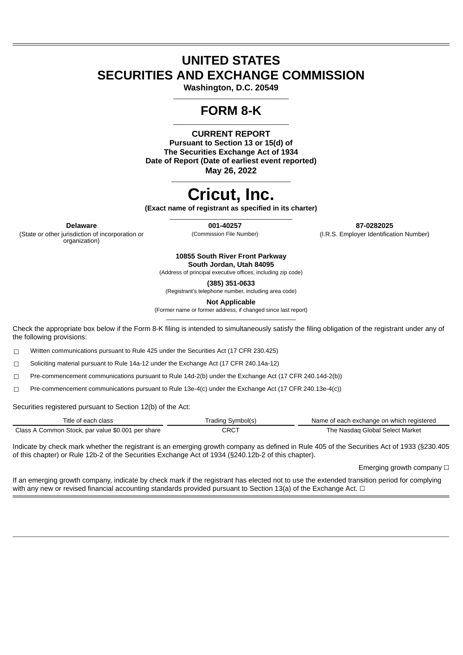## **UNITED STATES SECURITIES AND EXCHANGE COMMISSION**

**Washington, D.C. 20549**  $\mathcal{L}_\text{max}$ 

### **FORM 8-K** \_\_\_\_\_\_\_\_\_\_\_\_\_\_\_\_\_\_\_\_\_\_\_\_\_\_\_\_\_\_\_\_\_

### **CURRENT REPORT**

**Pursuant to Section 13 or 15(d) of The Securities Exchange Act of 1934 Date of Report (Date of earliest event reported) May 26, 2022**

# **Cricut, Inc.**

\_\_\_\_\_\_\_\_\_\_\_\_\_\_\_\_\_\_\_\_\_\_\_\_\_\_\_\_\_\_\_\_\_\_

**(Exact name of registrant as specified in its charter)**  $\mathcal{L}_\text{max}$ 

(State or other jurisdiction of incorporation or organization)

**Delaware 001-40257 87-0282025** (Commission File Number) (I.R.S. Employer Identification Number)

> **10855 South River Front Parkway South Jordan, Utah 84095**

(Address of principal executive offices, including zip code)

**(385) 351-0633**

(Registrant's telephone number, including area code)

**Not Applicable**

(Former name or former address, if changed since last report)  $\mathcal{L}_\text{max}$ 

Check the appropriate box below if the Form 8-K filing is intended to simultaneously satisfy the filing obligation of the registrant under any of the following provisions:

☐ Written communications pursuant to Rule 425 under the Securities Act (17 CFR 230.425)

☐ Soliciting material pursuant to Rule 14a-12 under the Exchange Act (17 CFR 240.14a-12)

☐ Pre-commencement communications pursuant to Rule 14d-2(b) under the Exchange Act (17 CFR 240.14d-2(b))

☐ Pre-commencement communications pursuant to Rule 13e-4(c) under the Exchange Act (17 CFR 240.13e-4(c))

Securities registered pursuant to Section 12(b) of the Act:

| Title of each class                               | Trading Symbol(s) | Name of each exchange on which registered |  |  |
|---------------------------------------------------|-------------------|-------------------------------------------|--|--|
| Class A Common Stock, par value \$0.001 per share | CRCT              | The Nasdag Global Select Market           |  |  |

Indicate by check mark whether the registrant is an emerging growth company as defined in Rule 405 of the Securities Act of 1933 (§230.405 of this chapter) or Rule 12b-2 of the Securities Exchange Act of 1934 (§240.12b-2 of this chapter).

Emerging growth company □

If an emerging growth company, indicate by check mark if the registrant has elected not to use the extended transition period for complying with any new or revised financial accounting standards provided pursuant to Section 13(a) of the Exchange Act.  $\Box$